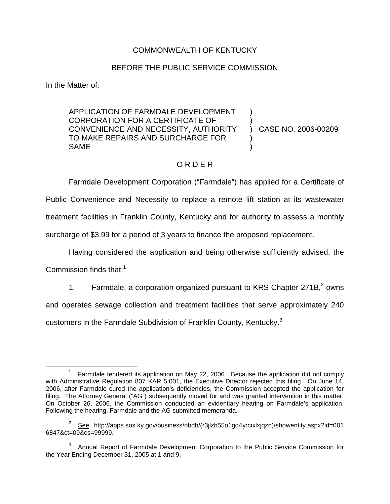## COMMONWEALTH OF KENTUCKY

## BEFORE THE PUBLIC SERVICE COMMISSION

In the Matter of:

APPLICATION OF FARMDALE DEVELOPMENT CORPORATION FOR A CERTIFICATE OF CONVENIENCE AND NECESSITY, AUTHORITY TO MAKE REPAIRS AND SURCHARGE FOR SAME ) ) ) )

) CASE NO. 2006-00209

## O R D E R

Farmdale Development Corporation ("Farmdale") has applied for a Certificate of Public Convenience and Necessity to replace a remote lift station at its wastewater treatment facilities in Franklin County, Kentucky and for authority to assess a monthly surcharge of \$3.99 for a period of 3 years to finance the proposed replacement.

Having considered the application and being otherwise sufficiently advised, the

Commission finds that: $1$ 

1. Farmdale, a corporation organized pursuant to KRS Chapter  $271B<sub>1</sub><sup>2</sup>$  owns

and operates sewage collection and treatment facilities that serve approximately 240

customers in the Farmdale Subdivision of Franklin County, Kentucky.<sup>3</sup>

<sup>&</sup>lt;sup>1</sup> Farmdale tendered its application on May 22, 2006. Because the application did not comply with Administrative Regulation 807 KAR 5:001, the Executive Director rejected this filing. On June 14, 2006, after Farmdale cured the application's deficiencies, the Commission accepted the application for filing. The Attorney General ("AG") subsequently moved for and was granted intervention in this matter. On October 26, 2006, the Commission conducted an evidentiary hearing on Farmdale's application. Following the hearing, Farmdale and the AG submitted memoranda.

<sup>&</sup>lt;sup>2</sup> See http://apps.sos.ky.gov/business/obdb/(r3jlzh55o1gd4yrcixlxjqzn)/showentity.aspx?id=001 6847&ct=09&cs=99999.

<sup>&</sup>lt;sup>3</sup> Annual Report of Farmdale Development Corporation to the Public Service Commission for the Year Ending December 31, 2005 at 1 and 9.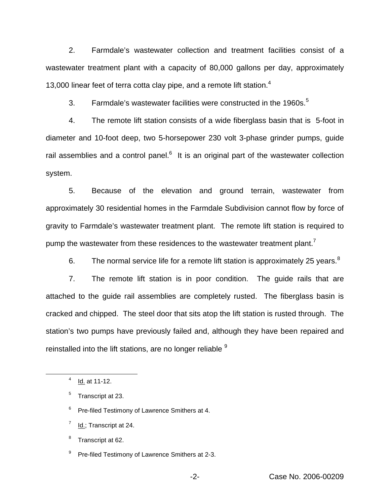2. Farmdale's wastewater collection and treatment facilities consist of a wastewater treatment plant with a capacity of 80,000 gallons per day, approximately 13,000 linear feet of terra cotta clay pipe, and a remote lift station. $4$ 

3. Farmdale's wastewater facilities were constructed in the 1960s.<sup>5</sup>

4. The remote lift station consists of a wide fiberglass basin that is 5-foot in diameter and 10-foot deep, two 5-horsepower 230 volt 3-phase grinder pumps, guide rail assemblies and a control panel. $6$  It is an original part of the wastewater collection system.

5. Because of the elevation and ground terrain, wastewater from approximately 30 residential homes in the Farmdale Subdivision cannot flow by force of gravity to Farmdale's wastewater treatment plant. The remote lift station is required to pump the wastewater from these residences to the wastewater treatment plant.<sup>7</sup>

6. The normal service life for a remote lift station is approximately 25 years. $8$ 

7. The remote lift station is in poor condition. The guide rails that are attached to the guide rail assemblies are completely rusted. The fiberglass basin is cracked and chipped. The steel door that sits atop the lift station is rusted through. The station's two pumps have previously failed and, although they have been repaired and reinstalled into the lift stations, are no longer reliable <sup>9</sup>

- <sup>6</sup> Pre-filed Testimony of Lawrence Smithers at 4.
- $^7$  Id.; Transcript at 24.

<sup>8</sup> Transcript at 62.

<sup>9</sup> Pre-filed Testimony of Lawrence Smithers at 2-3.

 $4$  Id. at 11-12.

<sup>&</sup>lt;sup>5</sup> Transcript at 23.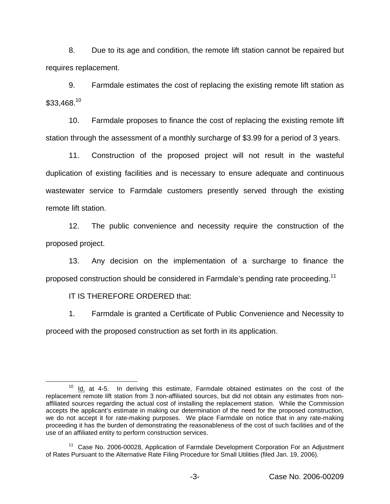8. Due to its age and condition, the remote lift station cannot be repaired but requires replacement.

9. Farmdale estimates the cost of replacing the existing remote lift station as  $$33.468.<sup>10</sup>$ 

10. Farmdale proposes to finance the cost of replacing the existing remote lift station through the assessment of a monthly surcharge of \$3.99 for a period of 3 years.

11. Construction of the proposed project will not result in the wasteful duplication of existing facilities and is necessary to ensure adequate and continuous wastewater service to Farmdale customers presently served through the existing remote lift station.

12. The public convenience and necessity require the construction of the proposed project.

13. Any decision on the implementation of a surcharge to finance the proposed construction should be considered in Farmdale's pending rate proceeding.<sup>11</sup>

IT IS THEREFORE ORDERED that:

1. Farmdale is granted a Certificate of Public Convenience and Necessity to proceed with the proposed construction as set forth in its application.

 $10$  Id. at 4-5. In deriving this estimate, Farmdale obtained estimates on the cost of the replacement remote lift station from 3 non-affiliated sources, but did not obtain any estimates from nonaffiliated sources regarding the actual cost of installing the replacement station. While the Commission accepts the applicant's estimate in making our determination of the need for the proposed construction, we do not accept it for rate-making purposes. We place Farmdale on notice that in any rate-making proceeding it has the burden of demonstrating the reasonableness of the cost of such facilities and of the use of an affiliated entity to perform construction services.

<sup>&</sup>lt;sup>11</sup> Case No. 2006-00028, Application of Farmdale Development Corporation For an Adjustment of Rates Pursuant to the Alternative Rate Filing Procedure for Small Utilities (filed Jan. 19, 2006).